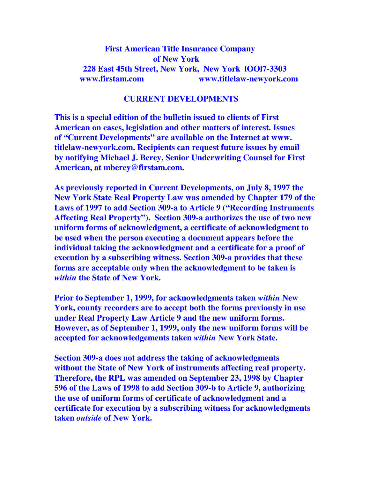# **First American Title Insurance Company of New York 228 East 45th Street, New York, New York lOOl7-3303 www.firstam.com www.titlelaw-newyork.com**

# **CURRENT DEVELOPMENTS**

**This is a special edition of the bulletin issued to clients of First American on cases, legislation and other matters of interest. Issues of "Current Developments" are available on the Internet at www. titlelaw-newyork.com. Recipients can request future issues by email by notifying Michael J. Berey, Senior Underwriting Counsel for First American, at mberey@firstam.com.** 

**As previously reported in Current Developments, on July 8, 1997 the New York State Real Property Law was amended by Chapter 179 of the Laws of 1997 to add Section 309-a to Article 9 ("Recording Instruments Affecting Real Property"). Section 309-a authorizes the use of two new uniform forms of acknowledgment, a certificate of acknowledgment to be used when the person executing a document appears before the individual taking the acknowledgment and a certificate for a proof of execution by a subscribing witness. Section 309-a provides that these forms are acceptable only when the acknowledgment to be taken is**  *within* **the State of New York.** 

**Prior to September 1, 1999, for acknowledgments taken** *within* **New York, county recorders are to accept both the forms previously in use under Real Property Law Article 9 and the new uniform forms. However, as of September 1, 1999, only the new uniform forms will be accepted for acknowledgements taken** *within* **New York State.** 

**Section 309-a does not address the taking of acknowledgments without the State of New York of instruments affecting real property. Therefore, the RPL was amended on September 23, 1998 by Chapter 596 of the Laws of 1998 to add Section 309-b to Article 9, authorizing the use of uniform forms of certificate of acknowledgment and a certificate for execution by a subscribing witness for acknowledgments taken** *outside* **of New York.**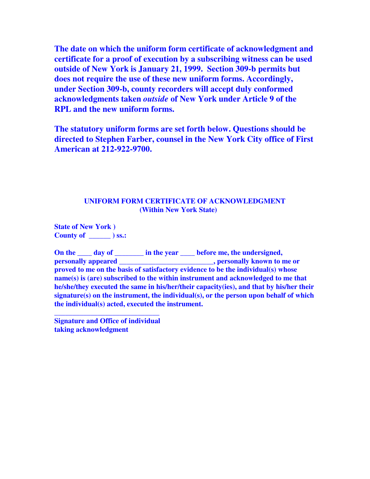**The date on which the uniform form certificate of acknowledgment and certificate for a proof of execution by a subscribing witness can be used outside of New York is January 21, 1999. Section 309-b permits but does not require the use of these new uniform forms. Accordingly, under Section 309-b, county recorders will accept duly conformed acknowledgments taken** *outside* **of New York under Article 9 of the RPL and the new uniform forms.** 

**The statutory uniform forms are set forth below. Questions should be directed to Stephen Farber, counsel in the New York City office of First American at 212-922-9700.**

## **UNIFORM FORM CERTIFICATE OF ACKNOWLEDGMENT (Within New York State)**

**State of New York ) County of \_\_\_\_\_\_ ) ss.:** 

On the <u>secondary of secondary in the year secondary before me, the undersigned,</u> **personally appeared the contract of the set of the set of the set of the set of the set of the set of the set of the set of the set of the set of the set of the set of the set of the set of the set of the set of the set o proved to me on the basis of satisfactory evidence to be the individual(s) whose name(s) is (are) subscribed to the within instrument and acknowledged to me that he/she/they executed the same in his/her/their capacity(ies), and that by his/her their signature(s) on the instrument, the individual(s), or the person upon behalf of which the individual(s) acted, executed the instrument.** 

**Signature and Office of individual taking acknowledgment** 

**\_\_\_\_\_\_\_\_\_\_\_\_\_\_\_\_\_\_\_\_\_\_\_\_\_\_\_\_\_**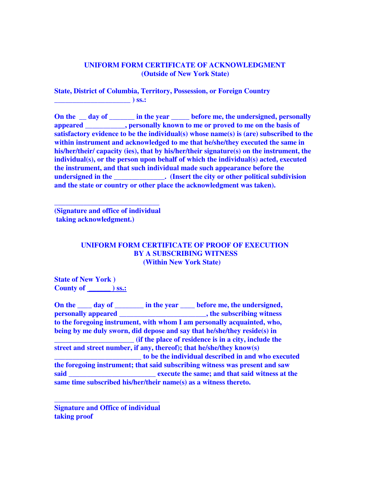## **UNIFORM FORM CERTIFICATE OF ACKNOWLEDGMENT (Outside of New York State)**

**State, District of Columbia, Territory, Possession, or Foreign Country \_\_\_\_\_\_\_\_\_\_\_\_\_\_\_\_\_\_\_\_\_ ) ss.:** 

**On the \_\_ day of \_\_\_\_\_\_\_ in the year \_\_\_\_\_ before me, the undersigned, personally appeared appeared b b**, **personally known to me or proved to me on the basis of satisfactory evidence to be the individual(s) whose name(s) is (are) subscribed to the within instrument and acknowledged to me that he/she/they executed the same in his/her/their/ capacity (ies), that by his/her/their signature(s) on the instrument, the individual(s), or the person upon behalf of which the individual(s) acted, executed the instrument, and that such individual made such appearance before the undersigned in the undersigned in the (Insert the city or other political subdivision and the state or country or other place the acknowledgment was taken).** 

**(Signature and office of individual taking acknowledgment.)** 

**\_\_\_\_\_\_\_\_\_\_\_\_\_\_\_\_\_\_\_\_\_\_\_\_\_\_\_\_\_** 

#### **UNIFORM FORM CERTIFICATE OF PROOF OF EXECUTION BY A SUBSCRIBING WITNESS (Within New York State)**

**State of New York ) County of \_\_\_\_\_\_ ) ss.:**

On the <u>secondary of secondary in the year secondary before me, the undersigned,</u> **personally appeared \_\_\_\_\_\_\_\_\_\_\_\_\_\_\_\_\_\_\_\_\_\_\_\_, the subscribing witness to the foregoing instrument, with whom I am personally acquainted, who, being by me duly sworn, did depose and say that he/she/they reside(s) in**  *(if the place of residence is in a city, include the* **street and street number, if any, thereof); that he/she/they know(s) \_\_\_\_\_\_\_\_\_\_\_\_\_\_\_\_\_\_\_\_\_\_\_\_ to be the individual described in and who executed the foregoing instrument; that said subscribing witness was present and saw said \_\_\_\_\_\_\_\_\_\_\_\_\_\_\_\_\_\_\_\_\_\_\_\_ execute the same; and that said witness at the same time subscribed his/her/their name(s) as a witness thereto.** 

**Signature and Office of individual taking proof** 

**\_\_\_\_\_\_\_\_\_\_\_\_\_\_\_\_\_\_\_\_\_\_\_\_\_\_\_\_\_**